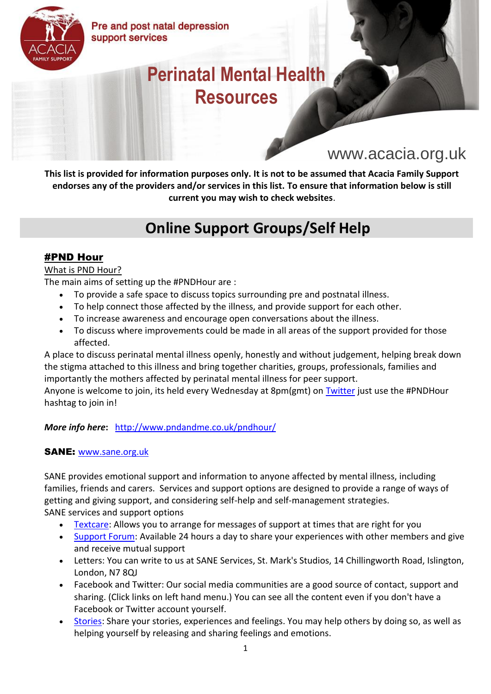

Pre and post natal depression support services

# **Perinatal Mental Health Resources**

# www.acacia.org.uk

**This list is provided for information purposes only. It is not to be assumed that Acacia Family Support endorses any of the providers and/or services in this list. To ensure that information below is still current you may wish to check websites**.

# **Online Support Groups/Self Help**

#### #PND Hour

#### What is PND Hour?

The main aims of setting up the #PNDHour are :

- To provide a safe space to discuss topics surrounding pre and postnatal illness.
- To help connect those affected by the illness, and provide support for each other.
- To increase awareness and encourage open conversations about the illness.
- To discuss where improvements could be made in all areas of the support provided for those affected.

A place to discuss perinatal mental illness openly, honestly and without judgement, helping break down the stigma attached to this illness and bring together charities, groups, professionals, families and importantly the mothers affected by perinatal mental illness for peer support.

Anyone is welcome to join, its held every Wednesday at 8pm(gmt) on [Twitter](http://www.twitter.com/pndandme) just use the #PNDHour hashtag to join in!

#### *More info here***:** <http://www.pndandme.co.uk/pndhour/>

#### SANE: [www.sane.org.uk](http://www.sane.org.uk/)

SANE provides emotional support and information to anyone affected by mental illness, including families, friends and carers. Services and support options are designed to provide a range of ways of getting and giving support, and considering self-help and self-management strategies. SANE services and support options

- [Textcare:](http://www.sane.org.uk/what_we_do/support/textcare/) Allows you to arrange for messages of support at times that are right for you
- [Support Forum:](http://www.sane.org.uk/what_we_do/support/supportforum/) Available 24 hours a day to share your experiences with other members and give and receive mutual support
- Letters: You can write to us at SANE Services, St. Mark's Studios, 14 Chillingworth Road, Islington, London, N7 8QJ
- Facebook and Twitter: Our social media communities are a good source of contact, support and sharing. (Click links on left hand menu.) You can see all the content even if you don't have a Facebook or Twitter account yourself.
- [Stories:](http://www.sane.org.uk/how_you_can_help/through_your_eyes/) Share your stories, experiences and feelings. You may help others by doing so, as well as helping yourself by releasing and sharing feelings and emotions.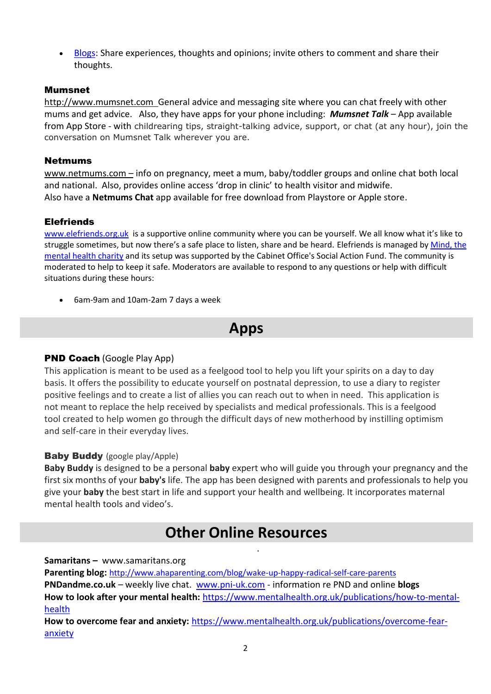• [Blogs:](http://www.sane.org.uk/how_you_can_help/blogging/) Share experiences, thoughts and opinions; invite others to comment and share their thoughts.

#### Mumsnet

[http://www.mumsnet.com](http://www.mumsnet.com/) General advice and messaging site where you can chat freely with other mums and get advice. Also, they have apps for your phone including: *Mumsnet Talk* – App available from App Store - with childrearing tips, straight-talking advice, support, or chat (at any hour), join the conversation on Mumsnet Talk wherever you are.

#### Netmums

[www.netmums.com](http://www.netmums.com/) – info on pregnancy, meet a mum, baby/toddler groups and online chat both local and national. Also, provides online access 'drop in clinic' to health visitor and midwife. Also have a **Netmums Chat** app available for free download from Playstore or Apple store.

#### **Elefriends**

[www.elefriends.org.uk](http://www.elefriends.org.uk/) is a supportive online community where you can be yourself. We all know what it's like to struggle sometimes, but now there's a safe place to listen, share and be heard. Elefriends is managed by Mind, the [mental health charity](http://www.mind.org.uk/) and its setup was supported by the Cabinet Office's Social Action Fund. The community is moderated to help to keep it safe. Moderators are available to respond to any questions or help with difficult situations during these hours:

• 6am-9am and 10am-2am 7 days a week

### **Apps**

#### PND Coach (Google Play App)

This application is meant to be used as a feelgood tool to help you lift your spirits on a day to day basis. It offers the possibility to educate yourself on postnatal depression, to use a diary to register positive feelings and to create a list of allies you can reach out to when in need. This application is not meant to replace the help received by specialists and medical professionals. This is a feelgood tool created to help women go through the difficult days of new motherhood by instilling optimism and self-care in their everyday lives.

#### Baby Buddy (google play/Apple)

**Baby Buddy** is designed to be a personal **baby** expert who will guide you through your pregnancy and the first six months of your **baby's** life. The app has been designed with parents and professionals to help you give your **baby** the best start in life and support your health and wellbeing. It incorporates maternal mental health tools and video's.

.

### **Other Online Resources**

**Samaritans –** www.samaritans.org

**Parenting blog:** <http://www.ahaparenting.com/blog/wake-up-happy-radical-self-care-parents> **PNDandme.co.uk** – weekly live chat. [www.pni-uk.com](http://www.pni-uk.com/) - information re PND and online **blogs How to look after your mental health:** [https://www.mentalhealth.org.uk/publications/how-to-mental](https://www.mentalhealth.org.uk/publications/how-to-mental-health)[health](https://www.mentalhealth.org.uk/publications/how-to-mental-health)

**How to overcome fear and anxiety:** [https://www.mentalhealth.org.uk/publications/overcome-fear](https://www.mentalhealth.org.uk/publications/overcome-fear-anxiety)[anxiety](https://www.mentalhealth.org.uk/publications/overcome-fear-anxiety)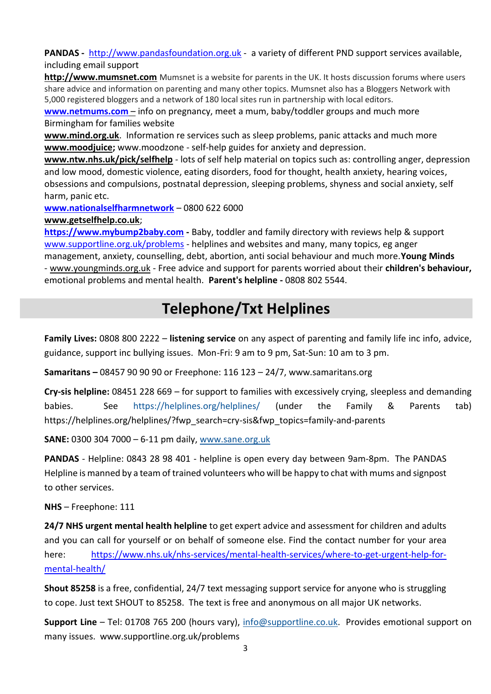PANDAS - [http://www.pandasfoundation.org.uk](http://www.pandasfoundation.org.uk/) - a variety of different PND support services available, including email support

**[http://www.mumsnet.com](http://www.mumsnet.com/)** Mumsnet is a website for parents in the UK. It hosts discussion forums where users share advice and information on parenting and many other topics. Mumsnet also has a Bloggers Network with 5,000 registered bloggers and a network of 180 local sites run in partnership with local editors.

**[www.netmums.com](http://www.netmums.com/)** – info on pregnancy, meet a mum, baby/toddler groups and much more Birmingham for families website

**[www.mind.org.uk](http://www.mind.org.uk/)**. Information re services such as sleep problems, panic attacks and much more **[www.moodjuice;](http://www.moodjuice/)** www.moodzone - self-help guides for anxiety and depression.

**[www.ntw.nhs.uk/pick/selfhelp](http://www.ntw.nhs.uk/pick/selfhelp)** - lots of self help material on topics such as: controlling anger, depression and low mood, domestic violence, eating disorders, food for thought, health anxiety, hearing voices, obsessions and compulsions, postnatal depression, sleeping problems, shyness and social anxiety, self harm, panic etc.

**[www.nationalselfharmnetwork](http://www.nationalselfharmnetwork/)** – 0800 622 6000

**[www.getselfhelp.co.uk](http://www.getselfhelp.co.uk/)**;

**[https://www.mybump2baby.com](https://www.mybump2baby.com/) -** Baby, toddler and family directory with reviews help & support [www.supportline.org.uk/problems](http://www.supportline.org.uk/problems) - helplines and websites and many, many topics, eg anger management, anxiety, counselling, debt, abortion, anti social behaviour and much more.**Young Minds**

- [www.youngminds.org.uk](http://www.youngminds.org.uk/) - Free advice and support for parents worried about their **children's behaviour,**  emotional problems and mental health. **Parent's helpline -** 0808 802 5544.

# **Telephone/Txt Helplines**

**Family Lives:** 0808 800 2222 – **listening service** on any aspect of parenting and family life inc info, advice, guidance, support inc bullying issues. Mon-Fri: 9 am to 9 pm, Sat-Sun: 10 am to 3 pm.

**Samaritans –** 08457 90 90 90 or Freephone: 116 123 – 24/7, www.samaritans.org

**Cry-sis helpline:** 08451 228 669 – for support to families with excessively crying, sleepless and demanding babies. See <https://helplines.org/helplines/> (under the Family & Parents tab) https://helplines.org/helplines/?fwp\_search=cry-sis&fwp\_topics=family-and-parents

**SANE:** 0300 304 7000 – 6-11 pm daily, [www.sane.org.uk](http://www.sane.org.uk/)

**PANDAS** - Helpline: 0843 28 98 401 - helpline is open every day between 9am-8pm. The PANDAS Helpline is manned by a team of trained volunteers who will be happy to chat with mums and signpost to other services.

**NHS** – Freephone: 111

**24/7 NHS urgent mental health helpline** to get expert advice and assessment for children and adults and you can call for yourself or on behalf of someone else. Find the contact number for your area here: [https://www.nhs.uk/nhs-services/mental-health-services/where-to-get-urgent-help-for](https://www.nhs.uk/nhs-services/mental-health-services/where-to-get-urgent-help-for-mental-health/)[mental-health/](https://www.nhs.uk/nhs-services/mental-health-services/where-to-get-urgent-help-for-mental-health/)

**Shout 85258** is a free, confidential, 24/7 text messaging support service for anyone who is struggling to cope. Just text SHOUT to 85258. The text is free and anonymous on all major UK networks.

**Support Line** – Tel: 01708 765 200 (hours vary), [info@supportline.co.uk.](mailto:info@supportline.co.uk) Provides emotional support on many issues. www.supportline.org.uk/problems